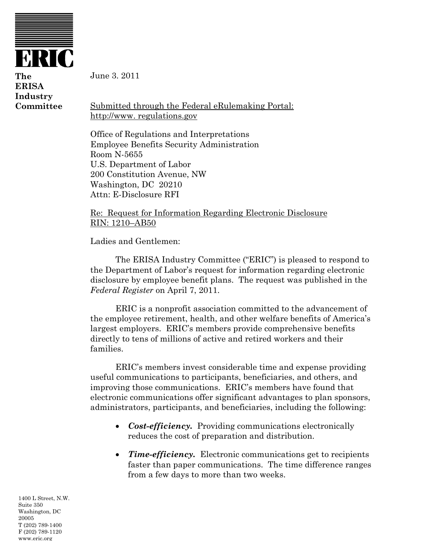

**The ERISA Industry Committee** 

June 3. 2011

Submitted through the Federal eRulemaking Portal: http://www. regulations.gov

Office of Regulations and Interpretations Employee Benefits Security Administration Room N-5655 U.S. Department of Labor 200 Constitution Avenue, NW Washington, DC 20210 Attn: E-Disclosure RFI

Re: Request for Information Regarding Electronic Disclosure RIN: 1210–AB50

Ladies and Gentlemen:

The ERISA Industry Committee ("ERIC") is pleased to respond to the Department of Labor's request for information regarding electronic disclosure by employee benefit plans. The request was published in the *Federal Register* on April 7, 2011.

ERIC is a nonprofit association committed to the advancement of the employee retirement, health, and other welfare benefits of America's largest employers. ERIC's members provide comprehensive benefits directly to tens of millions of active and retired workers and their families.

ERIC's members invest considerable time and expense providing useful communications to participants, beneficiaries, and others, and improving those communications. ERIC's members have found that electronic communications offer significant advantages to plan sponsors, administrators, participants, and beneficiaries, including the following:

- *Cost-efficiency.* Providing communications electronically reduces the cost of preparation and distribution.
- *Time-efficiency.* Electronic communications get to recipients faster than paper communications. The time difference ranges from a few days to more than two weeks.

1400 L Street, N.W. Suite 350 Washington, DC 20005 T (202) 789-1400 F (202) 789-1120 www.eric.org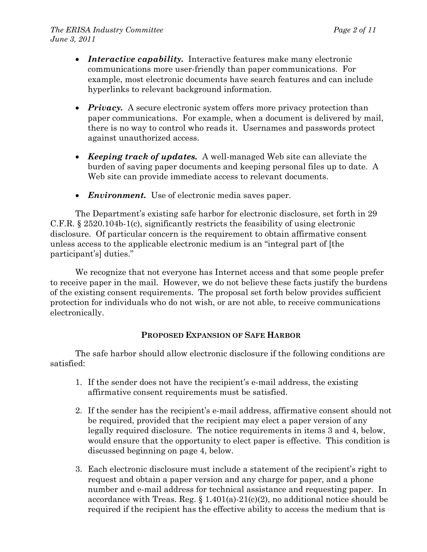- *Interactive capability.* Interactive features make many electronic communications more user-friendly than paper communications. For example, most electronic documents have search features and can include hyperlinks to relevant background information.
- *Privacy.* A secure electronic system offers more privacy protection than paper communications. For example, when a document is delivered by mail, there is no way to control who reads it. Usernames and passwords protect against unauthorized access.
- *Keeping track of updates.* A well-managed Web site can alleviate the burden of saving paper documents and keeping personal files up to date. A Web site can provide immediate access to relevant documents.
- *Environment.* Use of electronic media saves paper.

The Department's existing safe harbor for electronic disclosure, set forth in 29 C.F.R. § 2520.104b-1(c), significantly restricts the feasibility of using electronic disclosure. Of particular concern is the requirement to obtain affirmative consent unless access to the applicable electronic medium is an "integral part of [the participant's] duties."

We recognize that not everyone has Internet access and that some people prefer to receive paper in the mail. However, we do not believe these facts justify the burdens of the existing consent requirements. The proposal set forth below provides sufficient protection for individuals who do not wish, or are not able, to receive communications electronically.

#### **PROPOSED EXPANSION OF SAFE HARBOR**

The safe harbor should allow electronic disclosure if the following conditions are satisfied:

- 1. If the sender does not have the recipient's e-mail address, the existing affirmative consent requirements must be satisfied.
- 2. If the sender has the recipient's e-mail address, affirmative consent should not be required, provided that the recipient may elect a paper version of any legally required disclosure. The notice requirements in items 3 and 4, below, would ensure that the opportunity to elect paper is effective. This condition is discussed beginning on page 4, below.
- 3. Each electronic disclosure must include a statement of the recipient's right to request and obtain a paper version and any charge for paper, and a phone number and e-mail address for technical assistance and requesting paper. In accordance with Treas. Reg.  $\S 1.401(a)-21(c)(2)$ , no additional notice should be required if the recipient has the effective ability to access the medium that is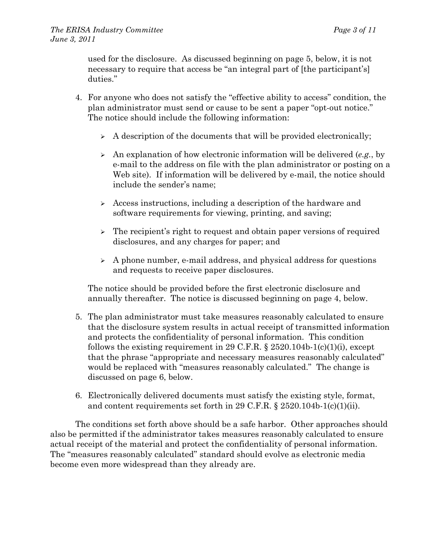used for the disclosure. As discussed beginning on page 5, below, it is not necessary to require that access be "an integral part of [the participant's] duties."

- 4. For anyone who does not satisfy the "effective ability to access" condition, the plan administrator must send or cause to be sent a paper "opt-out notice." The notice should include the following information:
	- $\triangleright$  A description of the documents that will be provided electronically;
	- An explanation of how electronic information will be delivered (*e.g.*, by e-mail to the address on file with the plan administrator or posting on a Web site). If information will be delivered by e-mail, the notice should include the sender's name;
	- Access instructions, including a description of the hardware and software requirements for viewing, printing, and saving;
	- $\triangleright$  The recipient's right to request and obtain paper versions of required disclosures, and any charges for paper; and
	- $\triangleright$  A phone number, e-mail address, and physical address for questions and requests to receive paper disclosures.

The notice should be provided before the first electronic disclosure and annually thereafter. The notice is discussed beginning on page 4, below.

- 5. The plan administrator must take measures reasonably calculated to ensure that the disclosure system results in actual receipt of transmitted information and protects the confidentiality of personal information. This condition follows the existing requirement in 29 C.F.R.  $\S 2520.104b-1(c)(1)(i)$ , except that the phrase "appropriate and necessary measures reasonably calculated" would be replaced with "measures reasonably calculated." The change is discussed on page 6, below.
- 6. Electronically delivered documents must satisfy the existing style, format, and content requirements set forth in 29 C.F.R. § 2520.104b-1(c)(1)(ii).

The conditions set forth above should be a safe harbor. Other approaches should also be permitted if the administrator takes measures reasonably calculated to ensure actual receipt of the material and protect the confidentiality of personal information. The "measures reasonably calculated" standard should evolve as electronic media become even more widespread than they already are.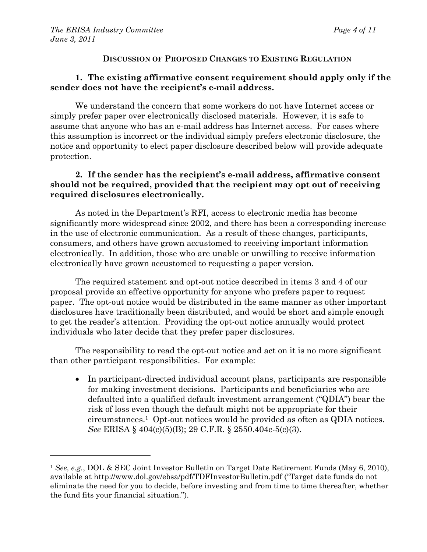#### **DISCUSSION OF PROPOSED CHANGES TO EXISTING REGULATION**

### **1. The existing affirmative consent requirement should apply only if the sender does not have the recipient's e-mail address.**

We understand the concern that some workers do not have Internet access or simply prefer paper over electronically disclosed materials. However, it is safe to assume that anyone who has an e-mail address has Internet access. For cases where this assumption is incorrect or the individual simply prefers electronic disclosure, the notice and opportunity to elect paper disclosure described below will provide adequate protection.

## **2. If the sender has the recipient's e-mail address, affirmative consent should not be required, provided that the recipient may opt out of receiving required disclosures electronically.**

As noted in the Department's RFI, access to electronic media has become significantly more widespread since 2002, and there has been a corresponding increase in the use of electronic communication. As a result of these changes, participants, consumers, and others have grown accustomed to receiving important information electronically. In addition, those who are unable or unwilling to receive information electronically have grown accustomed to requesting a paper version.

The required statement and opt-out notice described in items 3 and 4 of our proposal provide an effective opportunity for anyone who prefers paper to request paper. The opt-out notice would be distributed in the same manner as other important disclosures have traditionally been distributed, and would be short and simple enough to get the reader's attention. Providing the opt-out notice annually would protect individuals who later decide that they prefer paper disclosures.

The responsibility to read the opt-out notice and act on it is no more significant than other participant responsibilities. For example:

 In participant-directed individual account plans, participants are responsible for making investment decisions. Participants and beneficiaries who are defaulted into a qualified default investment arrangement ("QDIA") bear the risk of loss even though the default might not be appropriate for their circumstances.1 Opt-out notices would be provided as often as QDIA notices. *See* ERISA § 404(c)(5)(B); 29 C.F.R. § 2550.404c-5(c)(3).

<sup>1</sup> *See, e.g.*, DOL & SEC Joint Investor Bulletin on Target Date Retirement Funds (May 6, 2010), available at http://www.dol.gov/ebsa/pdf/TDFInvestorBulletin.pdf ("Target date funds do not eliminate the need for you to decide, before investing and from time to time thereafter, whether the fund fits your financial situation.").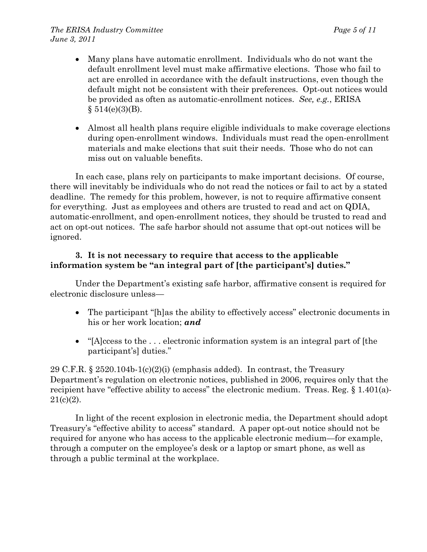- Many plans have automatic enrollment. Individuals who do not want the default enrollment level must make affirmative elections. Those who fail to act are enrolled in accordance with the default instructions, even though the default might not be consistent with their preferences. Opt-out notices would be provided as often as automatic-enrollment notices. *See, e.g.*, ERISA  $§ 514(e)(3)(B).$
- Almost all health plans require eligible individuals to make coverage elections during open-enrollment windows. Individuals must read the open-enrollment materials and make elections that suit their needs. Those who do not can miss out on valuable benefits.

In each case, plans rely on participants to make important decisions. Of course, there will inevitably be individuals who do not read the notices or fail to act by a stated deadline. The remedy for this problem, however, is not to require affirmative consent for everything. Just as employees and others are trusted to read and act on QDIA, automatic-enrollment, and open-enrollment notices, they should be trusted to read and act on opt-out notices. The safe harbor should not assume that opt-out notices will be ignored.

# **3. It is not necessary to require that access to the applicable information system be "an integral part of [the participant's] duties."**

Under the Department's existing safe harbor, affirmative consent is required for electronic disclosure unless—

- The participant "[h]as the ability to effectively access" electronic documents in his or her work location; *and*
- "[A]ccess to the . . . electronic information system is an integral part of [the participant's] duties."

29 C.F.R.  $\S 2520.104b-1(c)(2)(i)$  (emphasis added). In contrast, the Treasury Department's regulation on electronic notices, published in 2006, requires only that the recipient have "effective ability to access" the electronic medium. Treas. Reg. § 1.401(a)- $21(c)(2)$ .

In light of the recent explosion in electronic media, the Department should adopt Treasury's "effective ability to access" standard. A paper opt-out notice should not be required for anyone who has access to the applicable electronic medium—for example, through a computer on the employee's desk or a laptop or smart phone, as well as through a public terminal at the workplace.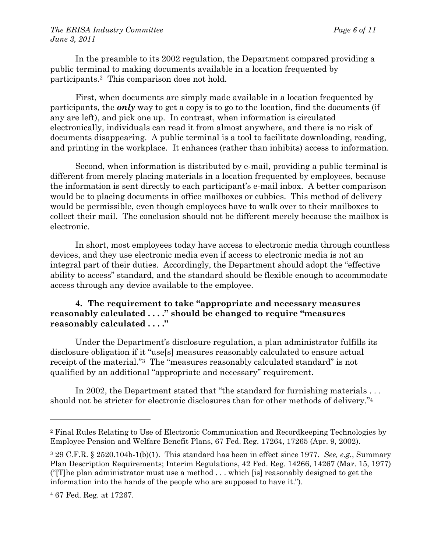In the preamble to its 2002 regulation, the Department compared providing a public terminal to making documents available in a location frequented by participants.2 This comparison does not hold.

First, when documents are simply made available in a location frequented by participants, the *only* way to get a copy is to go to the location, find the documents (if any are left), and pick one up. In contrast, when information is circulated electronically, individuals can read it from almost anywhere, and there is no risk of documents disappearing. A public terminal is a tool to facilitate downloading, reading, and printing in the workplace. It enhances (rather than inhibits) access to information.

Second, when information is distributed by e-mail, providing a public terminal is different from merely placing materials in a location frequented by employees, because the information is sent directly to each participant's e-mail inbox. A better comparison would be to placing documents in office mailboxes or cubbies. This method of delivery would be permissible, even though employees have to walk over to their mailboxes to collect their mail. The conclusion should not be different merely because the mailbox is electronic.

In short, most employees today have access to electronic media through countless devices, and they use electronic media even if access to electronic media is not an integral part of their duties. Accordingly, the Department should adopt the "effective ability to access" standard, and the standard should be flexible enough to accommodate access through any device available to the employee.

## **4. The requirement to take "appropriate and necessary measures reasonably calculated . . . ." should be changed to require "measures reasonably calculated . . . ."**

Under the Department's disclosure regulation, a plan administrator fulfills its disclosure obligation if it "use[s] measures reasonably calculated to ensure actual receipt of the material."3 The "measures reasonably calculated standard" is not qualified by an additional "appropriate and necessary" requirement.

In 2002, the Department stated that "the standard for furnishing materials . . . should not be stricter for electronic disclosures than for other methods of delivery."<sup>4</sup>

<sup>2</sup> Final Rules Relating to Use of Electronic Communication and Recordkeeping Technologies by Employee Pension and Welfare Benefit Plans, 67 Fed. Reg. 17264, 17265 (Apr. 9, 2002).

<sup>3 29</sup> C.F.R. § 2520.104b-1(b)(1). This standard has been in effect since 1977. *See, e.g.*, Summary Plan Description Requirements; Interim Regulations, 42 Fed. Reg. 14266, 14267 (Mar. 15, 1977) ("[T]he plan administrator must use a method . . . which [is] reasonably designed to get the information into the hands of the people who are supposed to have it.").

<sup>4 67</sup> Fed. Reg. at 17267.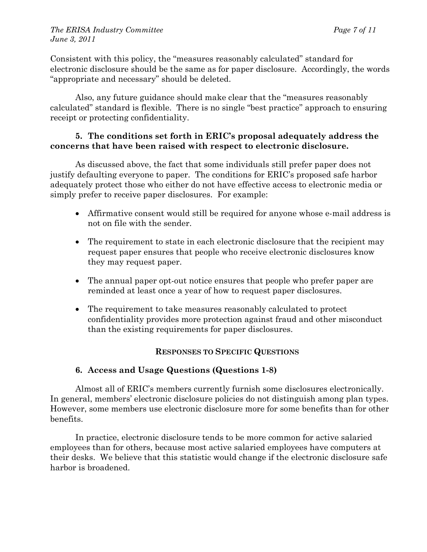Consistent with this policy, the "measures reasonably calculated" standard for electronic disclosure should be the same as for paper disclosure. Accordingly, the words "appropriate and necessary" should be deleted.

Also, any future guidance should make clear that the "measures reasonably calculated" standard is flexible. There is no single "best practice" approach to ensuring receipt or protecting confidentiality.

### **5. The conditions set forth in ERIC's proposal adequately address the concerns that have been raised with respect to electronic disclosure.**

As discussed above, the fact that some individuals still prefer paper does not justify defaulting everyone to paper. The conditions for ERIC's proposed safe harbor adequately protect those who either do not have effective access to electronic media or simply prefer to receive paper disclosures. For example:

- Affirmative consent would still be required for anyone whose e-mail address is not on file with the sender.
- The requirement to state in each electronic disclosure that the recipient may request paper ensures that people who receive electronic disclosures know they may request paper.
- The annual paper opt-out notice ensures that people who prefer paper are reminded at least once a year of how to request paper disclosures.
- The requirement to take measures reasonably calculated to protect confidentiality provides more protection against fraud and other misconduct than the existing requirements for paper disclosures.

# **RESPONSES TO SPECIFIC QUESTIONS**

# **6. Access and Usage Questions (Questions 1-8)**

Almost all of ERIC's members currently furnish some disclosures electronically. In general, members' electronic disclosure policies do not distinguish among plan types. However, some members use electronic disclosure more for some benefits than for other benefits.

In practice, electronic disclosure tends to be more common for active salaried employees than for others, because most active salaried employees have computers at their desks. We believe that this statistic would change if the electronic disclosure safe harbor is broadened.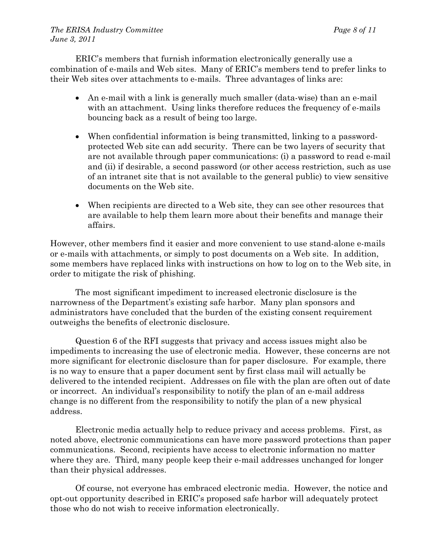ERIC's members that furnish information electronically generally use a combination of e-mails and Web sites. Many of ERIC's members tend to prefer links to their Web sites over attachments to e-mails. Three advantages of links are:

- An e-mail with a link is generally much smaller (data-wise) than an e-mail with an attachment. Using links therefore reduces the frequency of e-mails bouncing back as a result of being too large.
- When confidential information is being transmitted, linking to a passwordprotected Web site can add security. There can be two layers of security that are not available through paper communications: (i) a password to read e-mail and (ii) if desirable, a second password (or other access restriction, such as use of an intranet site that is not available to the general public) to view sensitive documents on the Web site.
- When recipients are directed to a Web site, they can see other resources that are available to help them learn more about their benefits and manage their affairs.

However, other members find it easier and more convenient to use stand-alone e-mails or e-mails with attachments, or simply to post documents on a Web site. In addition, some members have replaced links with instructions on how to log on to the Web site, in order to mitigate the risk of phishing.

The most significant impediment to increased electronic disclosure is the narrowness of the Department's existing safe harbor. Many plan sponsors and administrators have concluded that the burden of the existing consent requirement outweighs the benefits of electronic disclosure.

Question 6 of the RFI suggests that privacy and access issues might also be impediments to increasing the use of electronic media. However, these concerns are not more significant for electronic disclosure than for paper disclosure. For example, there is no way to ensure that a paper document sent by first class mail will actually be delivered to the intended recipient. Addresses on file with the plan are often out of date or incorrect. An individual's responsibility to notify the plan of an e-mail address change is no different from the responsibility to notify the plan of a new physical address.

Electronic media actually help to reduce privacy and access problems. First, as noted above, electronic communications can have more password protections than paper communications. Second, recipients have access to electronic information no matter where they are. Third, many people keep their e-mail addresses unchanged for longer than their physical addresses.

Of course, not everyone has embraced electronic media. However, the notice and opt-out opportunity described in ERIC's proposed safe harbor will adequately protect those who do not wish to receive information electronically.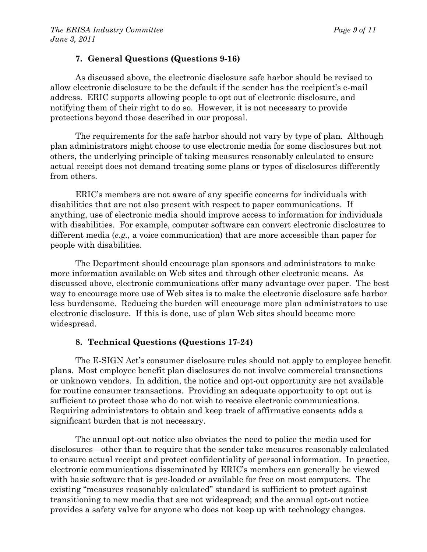### **7. General Questions (Questions 9-16)**

As discussed above, the electronic disclosure safe harbor should be revised to allow electronic disclosure to be the default if the sender has the recipient's e-mail address. ERIC supports allowing people to opt out of electronic disclosure, and notifying them of their right to do so. However, it is not necessary to provide protections beyond those described in our proposal.

The requirements for the safe harbor should not vary by type of plan. Although plan administrators might choose to use electronic media for some disclosures but not others, the underlying principle of taking measures reasonably calculated to ensure actual receipt does not demand treating some plans or types of disclosures differently from others.

ERIC's members are not aware of any specific concerns for individuals with disabilities that are not also present with respect to paper communications. If anything, use of electronic media should improve access to information for individuals with disabilities. For example, computer software can convert electronic disclosures to different media (*e.g.*, a voice communication) that are more accessible than paper for people with disabilities.

The Department should encourage plan sponsors and administrators to make more information available on Web sites and through other electronic means. As discussed above, electronic communications offer many advantage over paper. The best way to encourage more use of Web sites is to make the electronic disclosure safe harbor less burdensome. Reducing the burden will encourage more plan administrators to use electronic disclosure. If this is done, use of plan Web sites should become more widespread.

# **8. Technical Questions (Questions 17-24)**

The E-SIGN Act's consumer disclosure rules should not apply to employee benefit plans. Most employee benefit plan disclosures do not involve commercial transactions or unknown vendors. In addition, the notice and opt-out opportunity are not available for routine consumer transactions. Providing an adequate opportunity to opt out is sufficient to protect those who do not wish to receive electronic communications. Requiring administrators to obtain and keep track of affirmative consents adds a significant burden that is not necessary.

The annual opt-out notice also obviates the need to police the media used for disclosures—other than to require that the sender take measures reasonably calculated to ensure actual receipt and protect confidentiality of personal information. In practice, electronic communications disseminated by ERIC's members can generally be viewed with basic software that is pre-loaded or available for free on most computers. The existing "measures reasonably calculated" standard is sufficient to protect against transitioning to new media that are not widespread; and the annual opt-out notice provides a safety valve for anyone who does not keep up with technology changes.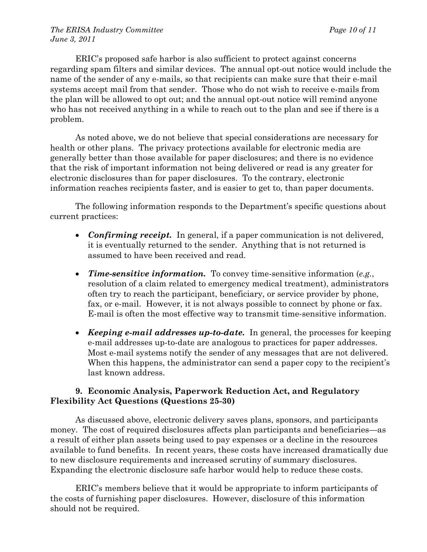ERIC's proposed safe harbor is also sufficient to protect against concerns regarding spam filters and similar devices. The annual opt-out notice would include the name of the sender of any e-mails, so that recipients can make sure that their e-mail systems accept mail from that sender. Those who do not wish to receive e-mails from the plan will be allowed to opt out; and the annual opt-out notice will remind anyone who has not received anything in a while to reach out to the plan and see if there is a problem.

As noted above, we do not believe that special considerations are necessary for health or other plans. The privacy protections available for electronic media are generally better than those available for paper disclosures; and there is no evidence that the risk of important information not being delivered or read is any greater for electronic disclosures than for paper disclosures. To the contrary, electronic information reaches recipients faster, and is easier to get to, than paper documents.

The following information responds to the Department's specific questions about current practices:

- *Confirming receipt.* In general, if a paper communication is not delivered, it is eventually returned to the sender. Anything that is not returned is assumed to have been received and read.
- *Time-sensitive information.* To convey time-sensitive information (*e.g.*, resolution of a claim related to emergency medical treatment), administrators often try to reach the participant, beneficiary, or service provider by phone, fax, or e-mail. However, it is not always possible to connect by phone or fax. E-mail is often the most effective way to transmit time-sensitive information.
- *Keeping e-mail addresses up-to-date.* In general, the processes for keeping e-mail addresses up-to-date are analogous to practices for paper addresses. Most e-mail systems notify the sender of any messages that are not delivered. When this happens, the administrator can send a paper copy to the recipient's last known address.

## **9. Economic Analysis, Paperwork Reduction Act, and Regulatory Flexibility Act Questions (Questions 25-30)**

As discussed above, electronic delivery saves plans, sponsors, and participants money. The cost of required disclosures affects plan participants and beneficiaries—as a result of either plan assets being used to pay expenses or a decline in the resources available to fund benefits. In recent years, these costs have increased dramatically due to new disclosure requirements and increased scrutiny of summary disclosures. Expanding the electronic disclosure safe harbor would help to reduce these costs.

ERIC's members believe that it would be appropriate to inform participants of the costs of furnishing paper disclosures. However, disclosure of this information should not be required.